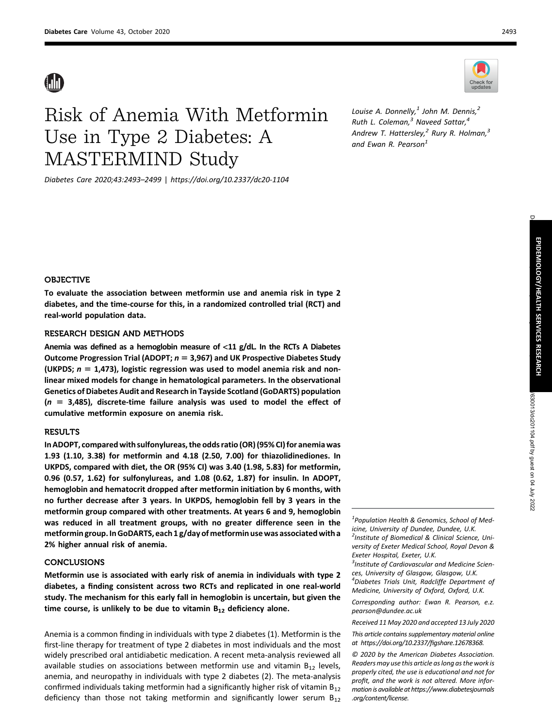# Risk of Anemia With Metformin Use in Type 2 Diabetes: A MASTERMIND Study

Diabetes Care 2020;43:2493–2499 | <https://doi.org/10.2337/dc20-1104>

Louise A. Donnelly, $<sup>1</sup>$  John M. Dennis, $<sup>2</sup>$ </sup></sup> Ruth L. Coleman, $^3$  Naveed Sattar, $^4$ Andrew T. Hattersley,<sup>2</sup> Rury R. Holman,<sup>3</sup> and Ewan R. Pearson $<sup>1</sup>$ </sup>

# OBJECTIVE

To evaluate the association between metformin use and anemia risk in type 2 diabetes, and the time-course for this, in a randomized controlled trial (RCT) and real-world population data.

#### RESEARCH DESIGN AND METHODS

Anemia was defined as a hemoglobin measure of  $<$ 11 g/dL. In the RCTs A Diabetes Outcome Progression Trial (ADOPT;  $n = 3,967$ ) and UK Prospective Diabetes Study (UKPDS;  $n = 1,473$ ), logistic regression was used to model anemia risk and nonlinear mixed models for change in hematological parameters. In the observational Genetics of Diabetes Audit and Research in Tayside Scotland (GoDARTS) population  $(n = 3,485)$ , discrete-time failure analysis was used to model the effect of cumulative metformin exposure on anemia risk.

# **RESULTS**

In ADOPT, compared with sulfonylureas, the odds ratio (OR) (95% CI) for anemia was 1.93 (1.10, 3.38) for metformin and 4.18 (2.50, 7.00) for thiazolidinediones. In UKPDS, compared with diet, the OR (95% CI) was 3.40 (1.98, 5.83) for metformin, 0.96 (0.57, 1.62) for sulfonylureas, and 1.08 (0.62, 1.87) for insulin. In ADOPT, hemoglobin and hematocrit dropped after metformin initiation by 6 months, with no further decrease after 3 years. In UKPDS, hemoglobin fell by 3 years in the metformin group compared with other treatments. At years 6 and 9, hemoglobin was reduced in all treatment groups, with no greater difference seen in the metformin group. In GoDARTS, each 1 g/day of metformin use was associated with a 2% higher annual risk of anemia.

# CONCLUSIONS

Metformin use is associated with early risk of anemia in individuals with type 2 diabetes, a finding consistent across two RCTs and replicated in one real-world study. The mechanism for this early fall in hemoglobin is uncertain, but given the time course, is unlikely to be due to vitamin  $B_{12}$  deficiency alone.

Anemia is a common finding in individuals with type 2 diabetes (1). Metformin is the first-line therapy for treatment of type 2 diabetes in most individuals and the most widely prescribed oral antidiabetic medication. A recent meta-analysis reviewed all available studies on associations between metformin use and vitamin  $B_{12}$  levels, anemia, and neuropathy in individuals with type 2 diabetes (2). The meta-analysis confirmed individuals taking metformin had a significantly higher risk of vitamin  $B_{12}$ deficiency than those not taking metformin and significantly lower serum  $B_{12}$ 

<sup>1</sup>Population Health & Genomics, School of Medicine, University of Dundee, Dundee, U.K. <sup>2</sup>Institute of Biomedical & Clinical Science, University of Exeter Medical School, Royal Devon & Exeter Hospital, Exeter, U.K.

<sup>3</sup>Institute of Cardiovascular and Medicine Sciences, University of Glasgow, Glasgow, U.K. 4 Diabetes Trials Unit, Radcliffe Department of Medicine, University of Oxford, Oxford, U.K.

Corresponding author: Ewan R. Pearson, [e.z.](mailto:e.z.pearson@dundee.ac.uk) [pearson@dundee.ac.uk](mailto:e.z.pearson@dundee.ac.uk)

Received 11 May 2020 and accepted 13 July 2020

This article contains supplementary material online at [https://doi.org/10.2337/](https://doi.org/10.2337/figshare.12678368)figshare.12678368.

© 2020 by the American Diabetes Association. Readers may use this article as long as the work is properly cited, the use is educational and not for profit, and the work is not altered. More information is available at [https://www.diabetesjournals](https://www.diabetesjournals.org/content/license) [.org/content/license](https://www.diabetesjournals.org/content/license).

Check for

EPIDEMIOLOGY/HEALTH

SERVICES

RESEARCH

630013/dc201104.pdf by guest on 04 July 2022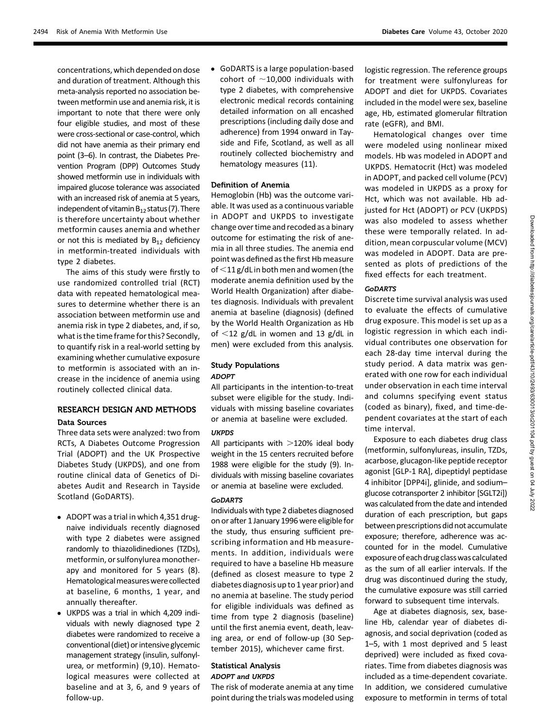concentrations, which depended on dose and duration of treatment. Although this meta-analysis reported no association between metformin use and anemia risk, it is important to note that there were only four eligible studies, and most of these were cross-sectional or case-control, which did not have anemia as their primary end point (3–6). In contrast, the Diabetes Prevention Program (DPP) Outcomes Study showed metformin use in individuals with impaired glucose tolerance was associated with an increased risk of anemia at 5 years, independent of vitamin  $B_{12}$  status (7). There is therefore uncertainty about whether metformin causes anemia and whether or not this is mediated by  $B_{12}$  deficiency in metformin-treated individuals with type 2 diabetes.

The aims of this study were firstly to use randomized controlled trial (RCT) data with repeated hematological measures to determine whether there is an association between metformin use and anemia risk in type 2 diabetes, and, if so, what is the time frame for this? Secondly, to quantify risk in a real-world setting by examining whether cumulative exposure to metformin is associated with an increase in the incidence of anemia using routinely collected clinical data.

# RESEARCH DESIGN AND METHODS

#### Data Sources

Three data sets were analyzed: two from RCTs, A Diabetes Outcome Progression Trial (ADOPT) and the UK Prospective Diabetes Study (UKPDS), and one from routine clinical data of Genetics of Diabetes Audit and Research in Tayside Scotland (GoDARTS).

- ADOPT was a trial in which 4,351 drugnaive individuals recently diagnosed with type 2 diabetes were assigned randomly to thiazolidinediones (TZDs), metformin, or sulfonylurea monotherapy and monitored for 5 years (8). Hematological measures were collected at baseline, 6 months, 1 year, and annually thereafter.
- UKPDS was a trial in which 4,209 individuals with newly diagnosed type 2 diabetes were randomized to receive a conventional (diet) or intensiveglycemic management strategy (insulin, sulfonylurea, or metformin) (9,10). Hematological measures were collected at baseline and at 3, 6, and 9 years of follow-up.

• GoDARTS is a large population-based cohort of  $\sim$ 10,000 individuals with type 2 diabetes, with comprehensive electronic medical records containing detailed information on all encashed prescriptions (including daily dose and adherence) from 1994 onward in Tayside and Fife, Scotland, as well as all routinely collected biochemistry and hematology measures (11).

#### Definition of Anemia

Hemoglobin (Hb) was the outcome variable. It was used as a continuous variable in ADOPT and UKPDS to investigate change over time and recoded as a binary outcome for estimating the risk of anemia in all three studies. The anemia end point was defined as the first Hb measure of  $<$ 11 g/dL in both men and women (the moderate anemia definition used by the World Health Organization) after diabetes diagnosis. Individuals with prevalent anemia at baseline (diagnosis) (defined by the World Health Organization as Hb of  $\langle 12 \rangle$  g/dL in women and 13 g/dL in men) were excluded from this analysis.

# Study Populations ADOPT

All participants in the intention-to-treat subset were eligible for the study. Individuals with missing baseline covariates or anemia at baseline were excluded.

#### **UKPDS**

All participants with  $>120\%$  ideal body weight in the 15 centers recruited before 1988 were eligible for the study (9). Individuals with missing baseline covariates or anemia at baseline were excluded.

#### GoDARTS

Individuals with type 2 diabetes diagnosed on or after 1 January 1996 were eligible for the study, thus ensuring sufficient prescribing information and Hb measurements. In addition, individuals were required to have a baseline Hb measure (defined as closest measure to type 2 diabetes diagnosis up to 1 year prior) and no anemia at baseline. The study period for eligible individuals was defined as time from type 2 diagnosis (baseline) until the first anemia event, death, leaving area, or end of follow-up (30 September 2015), whichever came first.

#### Statistical Analysis ADOPT and UKPDS

The risk of moderate anemia at any time point during the trials was modeled using logistic regression. The reference groups for treatment were sulfonylureas for ADOPT and diet for UKPDS. Covariates included in the model were sex, baseline age, Hb, estimated glomerular filtration rate (eGFR), and BMI.

Hematological changes over time were modeled using nonlinear mixed models. Hb was modeled in ADOPT and UKPDS. Hematocrit (Hct) was modeled in ADOPT, and packed cell volume (PCV) was modeled in UKPDS as a proxy for Hct, which was not available. Hb adjusted for Hct (ADOPT) or PCV (UKPDS) was also modeled to assess whether these were temporally related. In addition, mean corpuscular volume (MCV) was modeled in ADOPT. Data are presented as plots of predictions of the fixed effects for each treatment.

# GoDARTS

Discrete time survival analysis was used to evaluate the effects of cumulative drug exposure. This model is set up as a logistic regression in which each individual contributes one observation for each 28-day time interval during the study period. A data matrix was generated with one row for each individual under observation in each time interval and columns specifying event status (coded as binary), fixed, and time-dependent covariates at the start of each time interval.

Exposure to each diabetes drug class (metformin, sulfonylureas, insulin, TZDs, acarbose, glucagon-like peptide receptor agonist [GLP-1 RA], dipeptidyl peptidase 4 inhibitor [DPP4i], glinide, and sodium– glucose cotransporter 2 inhibitor [SGLT2i]) was calculated from the date and intended duration of each prescription, but gaps between prescriptions did not accumulate exposure; therefore, adherence was accounted for in the model. Cumulative exposure ofeach drug classwas calculated as the sum of all earlier intervals. If the drug was discontinued during the study, the cumulative exposure was still carried forward to subsequent time intervals.

Age at diabetes diagnosis, sex, baseline Hb, calendar year of diabetes diagnosis, and social deprivation (coded as 1–5, with 1 most deprived and 5 least deprived) were included as fixed covariates. Time from diabetes diagnosis was included as a time-dependent covariate. In addition, we considered cumulative exposure to metformin in terms of total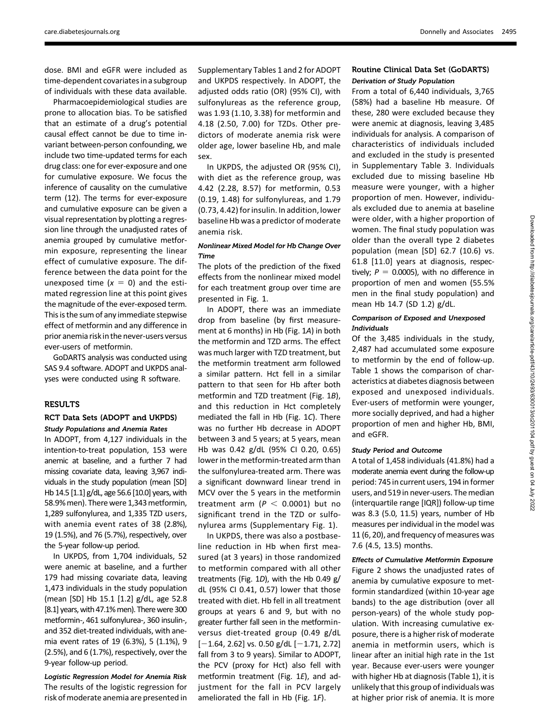dose. BMI and eGFR were included as time-dependent covariates in a subgroup of individuals with these data available.

Pharmacoepidemiological studies are prone to allocation bias. To be satisfied that an estimate of a drug's potential causal effect cannot be due to time invariant between-person confounding, we include two time-updated terms for each drug class: one for ever-exposure and one for cumulative exposure. We focus the inference of causality on the cumulative term (12). The terms for ever-exposure and cumulative exposure can be given a visual representation by plotting a regression line through the unadjusted rates of anemia grouped by cumulative metformin exposure, representing the linear effect of cumulative exposure. The difference between the data point for the unexposed time  $(x = 0)$  and the estimated regression line at this point gives the magnitude of the ever-exposed term. This is the sum of any immediate stepwise effect of metformin and any difference in prior anemia risk in the never-users versus ever-users of metformin.

GoDARTS analysis was conducted using SAS 9.4 software. ADOPT and UKPDS analyses were conducted using R software.

# RESULTS

#### RCT Data Sets (ADOPT and UKPDS) Study Populations and Anemia Rates

In ADOPT, from 4,127 individuals in the intention-to-treat population, 153 were anemic at baseline, and a further 7 had missing covariate data, leaving 3,967 individuals in the study population (mean [SD] Hb 14.5 [1.1] g/dL, age 56.6 [10.0] years, with 58.9% men). There were 1,343 metformin, 1,289 sulfonylurea, and 1,335 TZD users, with anemia event rates of 38 (2.8%), 19 (1.5%), and 76 (5.7%), respectively, over the 5-year follow-up period.

In UKPDS, from 1,704 individuals, 52 were anemic at baseline, and a further 179 had missing covariate data, leaving 1,473 individuals in the study population (mean [SD] Hb 15.1 [1.2] g/dL, age 52.8 [8.1] years, with 47.1% men). There were 300 metformin-, 461 sulfonylurea-, 360 insulin-, and 352 diet-treated individuals, with anemia event rates of 19 (6.3%), 5 (1.1%), 9 (2.5%), and 6 (1.7%), respectively, over the 9-year follow-up period.

Logistic Regression Model for Anemia Risk The results of the logistic regression for risk of moderate anemia are presented in [Supplementary Tables 1](https://doi.org/10.2337/figshare.12678368) and [2](https://doi.org/10.2337/figshare.12678368) for ADOPT and UKPDS respectively. In ADOPT, the adjusted odds ratio (OR) (95% CI), with sulfonylureas as the reference group, was 1.93 (1.10, 3.38) for metformin and 4.18 (2.50, 7.00) for TZDs. Other predictors of moderate anemia risk were older age, lower baseline Hb, and male sex.

In UKPDS, the adjusted OR (95% CI), with diet as the reference group, was 4.42 (2.28, 8.57) for metformin, 0.53 (0.19, 1.48) for sulfonylureas, and 1.79 (0.73, 4.42) for insulin. In addition, lower baseline Hb was a predictor of moderate anemia risk.

# Nonlinear Mixed Model for Hb Change Over Time

The plots of the prediction of the fixed effects from the nonlinear mixed model for each treatment group over time are presented in Fig. 1.

In ADOPT, there was an immediate drop from baseline (by first measurement at 6 months) in Hb (Fig. 1A) in both the metformin and TZD arms. The effect was much larger with TZD treatment, but the metformin treatment arm followed a similar pattern. Hct fell in a similar pattern to that seen for Hb after both metformin and TZD treatment (Fig. 1B), and this reduction in Hct completely mediated the fall in Hb (Fig. 1C). There was no further Hb decrease in ADOPT between 3 and 5 years; at 5 years, mean Hb was 0.42 g/dL (95% CI 0.20, 0.65) lower in the metformin-treated arm than the sulfonylurea-treated arm. There was a significant downward linear trend in MCV over the 5 years in the metformin treatment arm ( $P < 0.0001$ ) but no significant trend in the TZD or sulfonylurea arms ([Supplementary Fig. 1](https://doi.org/10.2337/figshare.12678368)).

In UKPDS, there was also a postbaseline reduction in Hb when first measured (at 3 years) in those randomized to metformin compared with all other treatments (Fig. 1D), with the Hb 0.49 g/ dL (95% CI 0.41, 0.57) lower that those treated with diet. Hb fell in all treatment groups at years 6 and 9, but with no greater further fall seen in the metforminversus diet-treated group (0.49 g/dL  $[-1.64, 2.62]$  vs. 0.50 g/dL  $[-1.71, 2.72]$ fall from 3 to 9 years). Similar to ADOPT, the PCV (proxy for Hct) also fell with metformin treatment (Fig. 1E), and adjustment for the fall in PCV largely ameliorated the fall in Hb (Fig. 1F).

# Routine Clinical Data Set (GoDARTS) Derivation of Study Population

From a total of 6,440 individuals, 3,765 (58%) had a baseline Hb measure. Of these, 280 were excluded because they were anemic at diagnosis, leaving 3,485 individuals for analysis. A comparison of characteristics of individuals included and excluded in the study is presented in [Supplementary Table 3.](https://doi.org/10.2337/figshare.12678368) Individuals excluded due to missing baseline Hb measure were younger, with a higher proportion of men. However, individuals excluded due to anemia at baseline were older, with a higher proportion of women. The final study population was older than the overall type 2 diabetes population (mean [SD] 62.7 (10.6) vs. 61.8 [11.0] years at diagnosis, respectively;  $P = 0.0005$ ), with no difference in proportion of men and women (55.5% men in the final study population) and mean Hb 14.7 (SD 1.2) g/dL.

#### Comparison of Exposed and Unexposed Individuals

Of the 3,485 individuals in the study, 2,487 had accumulated some exposure to metformin by the end of follow-up. Table 1 shows the comparison of characteristics at diabetes diagnosis between exposed and unexposed individuals. Ever-users of metformin were younger, more socially deprived, and had a higher proportion of men and higher Hb, BMI, and eGFR.

#### Study Period and Outcome

A total of 1,458 individuals (41.8%) had a moderate anemia event during the follow-up period: 745 in current users, 194 in former users, and 519 in never-users. The median (interquartile range [IQR]) follow-up time was 8.3 (5.0, 11.5) years, number of Hb measures per individual in the model was 11 (6, 20), and frequency of measures was 7.6 (4.5, 13.5) months.

Effects of Cumulative Metformin Exposure Figure 2 shows the unadjusted rates of anemia by cumulative exposure to metformin standardized (within 10-year age bands) to the age distribution (over all person-years) of the whole study population. With increasing cumulative exposure, there is a higher risk of moderate anemia in metformin users, which is linear after an initial high rate in the 1st year. Because ever-users were younger with higher Hb at diagnosis (Table 1), it is unlikely that this group of individuals was at higher prior risk of anemia. It is more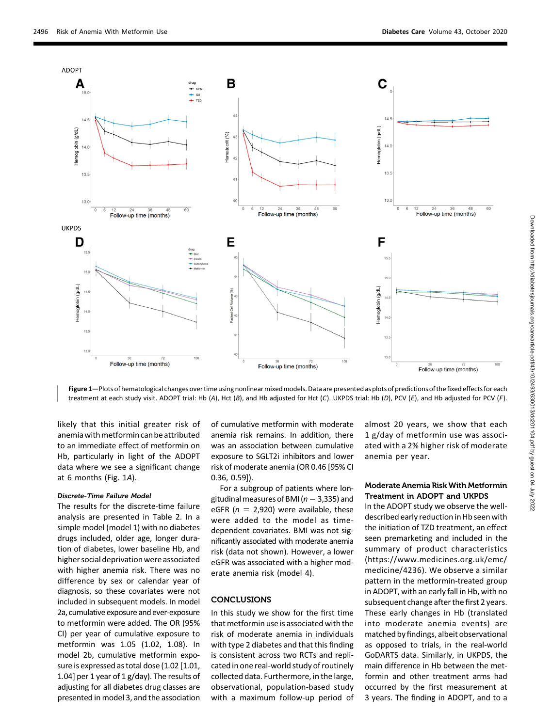

Figure 1-Plots of hematological changes over time using nonlinear mixed models. Data are presented as plots of predictions of the fixed effects for each treatment at each study visit. ADOPT trial: Hb (A), Hct (B), and Hb adjusted for Hct (C). UKPDS trial: Hb (D), PCV (E), and Hb adjusted for PCV (F).

likely that this initial greater risk of anemia with metformin can be attributed to an immediate effect of metformin on Hb, particularly in light of the ADOPT data where we see a significant change at 6 months (Fig. 1A).

#### Discrete-Time Failure Model

The results for the discrete-time failure analysis are presented in Table 2. In a simple model (model 1) with no diabetes drugs included, older age, longer duration of diabetes, lower baseline Hb, and higher social deprivation were associated with higher anemia risk. There was no difference by sex or calendar year of diagnosis, so these covariates were not included in subsequent models. In model 2a, cumulative exposure and ever-exposure to metformin were added. The OR (95% CI) per year of cumulative exposure to metformin was 1.05 (1.02, 1.08). In model 2b, cumulative metformin exposure is expressed as total dose (1.02 [1.01, 1.04] per 1 year of 1 g/day). The results of adjusting for all diabetes drug classes are presented in model 3, and the association

of cumulative metformin with moderate anemia risk remains. In addition, there was an association between cumulative exposure to SGLT2i inhibitors and lower risk of moderate anemia (OR 0.46 [95% CI 0.36, 0.59]).

For a subgroup of patients where longitudinal measures of BMI ( $n=3,335$ ) and eGFR ( $n = 2,920$ ) were available, these were added to the model as timedependent covariates. BMI was not significantly associated with moderate anemia risk (data not shown). However, a lower eGFR was associated with a higher moderate anemia risk (model 4).

#### **CONCLUSIONS**

In this study we show for the first time that metformin use is associated with the risk of moderate anemia in individuals with type 2 diabetes and that this finding is consistent across two RCTs and replicated in one real-world study of routinely collected data. Furthermore, in the large, observational, population-based study with a maximum follow-up period of almost 20 years, we show that each 1 g/day of metformin use was associated with a 2% higher risk of moderate anemia per year.

# Moderate Anemia Risk With Metformin Treatment in ADOPT and UKPDS

In the ADOPT study we observe the welldescribed early reduction in Hb seen with the initiation of TZD treatment, an effect seen premarketing and included in the summary of product characteristics ([https://www.medicines.org.uk/emc/](https://www.medicines.org.uk/emc/medicine/4236) [medicine/4236\)](https://www.medicines.org.uk/emc/medicine/4236). We observe a similar pattern in the metformin-treated group in ADOPT, with an early fall in Hb, with no subsequent change after the first 2 years. These early changes in Hb (translated into moderate anemia events) are matched by findings, albeit observational as opposed to trials, in the real-world GoDARTS data. Similarly, in UKPDS, the main difference in Hb between the metformin and other treatment arms had occurred by the first measurement at 3 years. The finding in ADOPT, and to a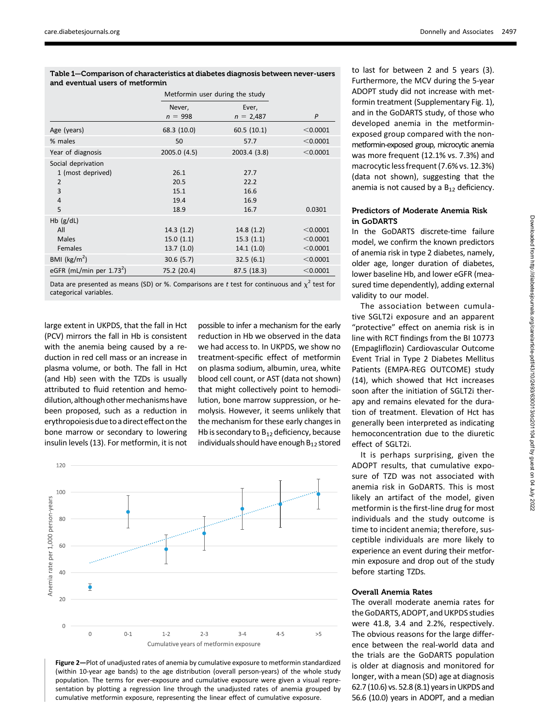| Table 1—Comparison of characteristics at diabetes diagnosis between never-users<br>and eventual users of metformin |                                      |                                      |                                    |  |  |
|--------------------------------------------------------------------------------------------------------------------|--------------------------------------|--------------------------------------|------------------------------------|--|--|
|                                                                                                                    |                                      | Metformin user during the study      |                                    |  |  |
|                                                                                                                    | Never,<br>$n = 998$                  | Ever,<br>$n = 2,487$                 | $\mathsf{P}$                       |  |  |
| Age (years)                                                                                                        | 68.3 (10.0)                          | 60.5(10.1)                           | $<$ 0.0001                         |  |  |
| % males                                                                                                            | 50                                   | 57.7                                 | < 0.0001                           |  |  |
| Year of diagnosis                                                                                                  | 2005.0 (4.5)                         | 2003.4 (3.8)                         | < 0.0001                           |  |  |
| Social deprivation<br>1 (most deprived)<br>$\overline{2}$<br>3<br>$\overline{4}$<br>5                              | 26.1<br>20.5<br>15.1<br>19.4<br>18.9 | 27.7<br>22.2<br>16.6<br>16.9<br>16.7 | 0.0301                             |  |  |
| $Hb$ (g/dL)<br>All<br>Males<br>Females                                                                             | 14.3(1.2)<br>15.0(1.1)<br>13.7(1.0)  | 14.8(1.2)<br>15.3(1.1)<br>14.1(1.0)  | < 0.0001<br>$<$ 0.0001<br>< 0.0001 |  |  |
| BMI ( $\text{kg/m}^2$ )                                                                                            | 30.6(5.7)                            | 32.5(6.1)                            | $<$ 0.0001                         |  |  |
| eGFR (mL/min per $1.732$ )                                                                                         | 75.2 (20.4)                          | 87.5 (18.3)                          | $<$ 0.0001                         |  |  |

Data are presented as means (SD) or %. Comparisons are t test for continuous and  $\chi^2$  test for categorical variables.

large extent in UKPDS, that the fall in Hct (PCV) mirrors the fall in Hb is consistent with the anemia being caused by a reduction in red cell mass or an increase in plasma volume, or both. The fall in Hct (and Hb) seen with the TZDs is usually attributed to fluid retention and hemodilution, although other mechanisms have been proposed, such as a reduction in erythropoiesis due toa directeffect on the bone marrow or secondary to lowering insulin levels (13). For metformin, it is not

possible to infer a mechanism for the early reduction in Hb we observed in the data we had access to. In UKPDS, we show no treatment-specific effect of metformin on plasma sodium, albumin, urea, white blood cell count, or AST (data not shown) that might collectively point to hemodilution, bone marrow suppression, or hemolysis. However, it seems unlikely that the mechanism for these early changes in Hb is secondary to  $B_{12}$  deficiency, because individuals should have enough  $B_{12}$  stored



Figure 2—Plot of unadjusted rates of anemia by cumulative exposure to metformin standardized (within 10-year age bands) to the age distribution (overall person-years) of the whole study population. The terms for ever-exposure and cumulative exposure were given a visual representation by plotting a regression line through the unadjusted rates of anemia grouped by cumulative metformin exposure, representing the linear effect of cumulative exposure.

to last for between 2 and 5 years (3). Furthermore, the MCV during the 5-year ADOPT study did not increase with metformin treatment [\(Supplementary Fig. 1\)](https://doi.org/10.2337/figshare.12678368), and in the GoDARTS study, of those who developed anemia in the metforminexposed group compared with the nonmetformin-exposed group, microcytic anemia was more frequent (12.1% vs. 7.3%) and macrocytic less frequent (7.6% vs. 12.3%) (data not shown), suggesting that the anemia is not caused by a  $B_{12}$  deficiency.

# Predictors of Moderate Anemia Risk in GoDARTS

In the GoDARTS discrete-time failure model, we confirm the known predictors of anemia risk in type 2 diabetes, namely, older age, longer duration of diabetes, lower baseline Hb, and lower eGFR (measured time dependently), adding external validity to our model.

The association between cumulative SGLT2i exposure and an apparent "protective" effect on anemia risk is in line with RCT findings from the BI 10773 (Empagliflozin) Cardiovascular Outcome Event Trial in Type 2 Diabetes Mellitus Patients (EMPA-REG OUTCOME) study (14), which showed that Hct increases soon after the initiation of SGLT2i therapy and remains elevated for the duration of treatment. Elevation of Hct has generally been interpreted as indicating hemoconcentration due to the diuretic effect of SGLT2i.

It is perhaps surprising, given the ADOPT results, that cumulative exposure of TZD was not associated with anemia risk in GoDARTS. This is most likely an artifact of the model, given metformin is the first-line drug for most individuals and the study outcome is time to incident anemia; therefore, susceptible individuals are more likely to experience an event during their metformin exposure and drop out of the study before starting TZDs.

# Overall Anemia Rates

The overall moderate anemia rates for the GoDARTS, ADOPT, and UKPDS studies were 41.8, 3.4 and 2.2%, respectively. The obvious reasons for the large difference between the real-world data and the trials are the GoDARTS population is older at diagnosis and monitored for longer, with a mean (SD) age at diagnosis 62.7 (10.6) vs. 52.8 (8.1) years in UKPDS and 56.6 (10.0) years in ADOPT, and a median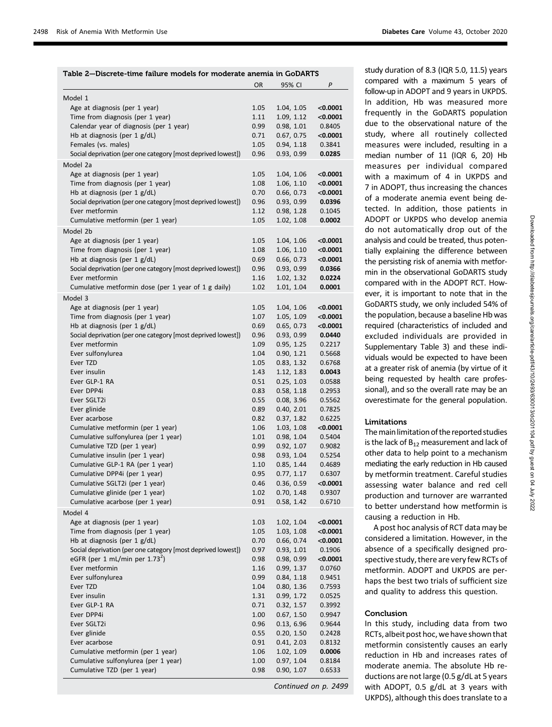| Table 2—Discrete-time failure models for moderate anemia in GoDARTS |              |                          |                  |  |
|---------------------------------------------------------------------|--------------|--------------------------|------------------|--|
|                                                                     | OR           | 95% CI                   | P                |  |
| Model 1                                                             |              |                          |                  |  |
| Age at diagnosis (per 1 year)                                       | 1.05         | 1.04, 1.05               | < 0.0001         |  |
| Time from diagnosis (per 1 year)                                    | 1.11         | 1.09, 1.12               | < 0.0001         |  |
| Calendar year of diagnosis (per 1 year)                             | 0.99         | 0.98, 1.01               | 0.8405           |  |
| Hb at diagnosis (per 1 g/dL)                                        | 0.71         | 0.67, 0.75               | $<$ 0.0001       |  |
| Females (vs. males)                                                 | 1.05         | 0.94, 1.18               | 0.3841           |  |
| Social deprivation (per one category [most deprived lowest])        | 0.96         | 0.93, 0.99               | 0.0285           |  |
| Model 2a                                                            |              |                          |                  |  |
| Age at diagnosis (per 1 year)                                       | 1.05         | 1.04, 1.06               | < 0.0001         |  |
| Time from diagnosis (per 1 year)                                    | 1.08         | 1.06, 1.10               | < 0.0001         |  |
| Hb at diagnosis (per $1$ g/dL)                                      | 0.70         | 0.66, 0.73               | < 0.0001         |  |
| Social deprivation (per one category [most deprived lowest])        | 0.96         | 0.93, 0.99               | 0.0396           |  |
| Ever metformin                                                      | 1.12         | 0.98, 1.28               | 0.1045           |  |
| Cumulative metformin (per 1 year)                                   | 1.05         | 1.02, 1.08               | 0.0002           |  |
| Model 2b                                                            |              |                          |                  |  |
| Age at diagnosis (per 1 year)                                       | 1.05         | 1.04, 1.06               | < 0.0001         |  |
| Time from diagnosis (per 1 year)                                    | 1.08         | 1.06, 1.10               | $<$ 0.0001       |  |
| Hb at diagnosis (per $1$ g/dL)                                      | 0.69         | 0.66, 0.73               | < 0.0001         |  |
| Social deprivation (per one category [most deprived lowest])        | 0.96         | 0.93, 0.99               | 0.0366           |  |
| Ever metformin                                                      | 1.16         | 1.02, 1.32               | 0.0224           |  |
| Cumulative metformin dose (per 1 year of 1 g daily)                 | 1.02         | 1.01, 1.04               | 0.0001           |  |
| Model 3                                                             |              |                          |                  |  |
| Age at diagnosis (per 1 year)                                       | 1.05         | 1.04, 1.06               | < 0.0001         |  |
| Time from diagnosis (per 1 year)                                    | 1.07         | 1.05, 1.09               | < 0.0001         |  |
| Hb at diagnosis (per $1$ g/dL)                                      | 0.69         | 0.65, 0.73               | $<$ 0.0001       |  |
| Social deprivation (per one category [most deprived lowest])        | 0.96         | 0.93, 0.99               | 0.0440           |  |
| Ever metformin                                                      | 1.09         | 0.95, 1.25               | 0.2217           |  |
| Ever sulfonylurea                                                   | 1.04         | 0.90, 1.21               | 0.5668           |  |
| Ever TZD                                                            | 1.05         | 0.83, 1.32               | 0.6768           |  |
| Ever insulin                                                        | 1.43         | 1.12, 1.83               | 0.0043           |  |
| Ever GLP-1 RA<br>Ever DPP4i                                         | 0.51<br>0.83 | 0.25, 1.03<br>0.58, 1.18 | 0.0588<br>0.2953 |  |
| Ever SGLT2i                                                         | 0.55         | 0.08, 3.96               | 0.5562           |  |
| Ever glinide                                                        | 0.89         | 0.40, 2.01               | 0.7825           |  |
| Ever acarbose                                                       | 0.82         | 0.37, 1.82               | 0.6225           |  |
| Cumulative metformin (per 1 year)                                   | 1.06         | 1.03, 1.08               | $<$ 0.0001       |  |
| Cumulative sulfonylurea (per 1 year)                                | 1.01         | 0.98, 1.04               | 0.5404           |  |
| Cumulative TZD (per 1 year)                                         | 0.99         | 0.92, 1.07               | 0.9082           |  |
| Cumulative insulin (per 1 year)                                     | 0.98         | 0.93, 1.04               | 0.5254           |  |
| Cumulative GLP-1 RA (per 1 year)                                    | 1.10         | 0.85, 1.44               | 0.4689           |  |
| Cumulative DPP4i (per 1 year)                                       | 0.95         | 0.77, 1.17               | 0.6307           |  |
| Cumulative SGLT2i (per 1 year)                                      | 0.46         | 0.36, 0.59               | <0.0001          |  |
| Cumulative glinide (per 1 year)                                     | 1.02         | 0.70, 1.48               | 0.9307           |  |
| Cumulative acarbose (per 1 year)                                    | 0.91         | 0.58, 1.42               | 0.6710           |  |
| Model 4                                                             |              |                          |                  |  |
| Age at diagnosis (per 1 year)                                       | 1.03         | 1.02, 1.04               | $<$ 0.0001       |  |
| Time from diagnosis (per 1 year)                                    | 1.05         | 1.03, 1.08               | < 0.0001         |  |
| Hb at diagnosis (per 1 g/dL)                                        | 0.70         | 0.66, 0.74               | $<$ 0.0001       |  |
| Social deprivation (per one category [most deprived lowest])        | 0.97         | 0.93, 1.01               | 0.1906           |  |
| eGFR (per 1 mL/min per $1.73^2$ )                                   | 0.98         | 0.98, 0.99               | <0.0001          |  |
| Ever metformin                                                      | 1.16         | 0.99, 1.37               | 0.0760           |  |
| Ever sulfonylurea                                                   | 0.99         | 0.84, 1.18               | 0.9451           |  |
| Ever TZD                                                            | 1.04         | 0.80, 1.36               | 0.7593           |  |
| Ever insulin                                                        | 1.31         | 0.99, 1.72               | 0.0525           |  |
| Ever GLP-1 RA                                                       | 0.71         | 0.32, 1.57               | 0.3992           |  |
| Ever DPP4i                                                          | 1.00         | 0.67, 1.50               | 0.9947           |  |
| Ever SGLT2i<br>Ever glinide                                         | 0.96<br>0.55 | 0.13, 6.96<br>0.20, 1.50 | 0.9644           |  |
| Ever acarbose                                                       | 0.91         | 0.41, 2.03               | 0.2428<br>0.8132 |  |
| Cumulative metformin (per 1 year)                                   | 1.06         | 1.02, 1.09               | 0.0006           |  |
| Cumulative sulfonylurea (per 1 year)                                | 1.00         | 0.97, 1.04               | 0.8184           |  |
| Cumulative TZD (per 1 year)                                         | 0.98         | 0.90, 1.07               | 0.6533           |  |
|                                                                     |              |                          |                  |  |

Continued on p. 2499

study duration of 8.3 (IQR 5.0, 11.5) years compared with a maximum 5 years of follow-up in ADOPT and 9 years in UKPDS. In addition, Hb was measured more frequently in the GoDARTS population due to the observational nature of the study, where all routinely collected measures were included, resulting in a median number of 11 (IQR 6, 20) Hb measures per individual compared with a maximum of 4 in UKPDS and 7 in ADOPT, thus increasing the chances of a moderate anemia event being detected. In addition, those patients in ADOPT or UKPDS who develop anemia do not automatically drop out of the analysis and could be treated, thus potentially explaining the difference between the persisting risk of anemia with metformin in the observational GoDARTS study compared with in the ADOPT RCT. However, it is important to note that in the GoDARTS study, we only included 54% of the population, because a baseline Hb was required (characteristics of included and excluded individuals are provided in [Supplementary Table 3](https://doi.org/10.2337/figshare.12678368)) and these individuals would be expected to have been at a greater risk of anemia (by virtue of it being requested by health care professional), and so the overall rate may be an overestimate for the general population.

#### Limitations

The main limitation of the reported studies is the lack of  $B_{12}$  measurement and lack of other data to help point to a mechanism mediating the early reduction in Hb caused by metformin treatment. Careful studies assessing water balance and red cell production and turnover are warranted to better understand how metformin is causing a reduction in Hb.

A post hoc analysis of RCT data may be considered a limitation. However, in the absence of a specifically designed prospective study, there are very few RCTs of metformin. ADOPT and UKPDS are perhaps the best two trials of sufficient size and quality to address this question.

#### Conclusion

In this study, including data from two RCTs, albeit post hoc, we have shown that metformin consistently causes an early reduction in Hb and increases rates of moderate anemia. The absolute Hb reductions are not large (0.5 g/dL at 5 years with ADOPT, 0.5 g/dL at 3 years with UKPDS), although this does translate to a